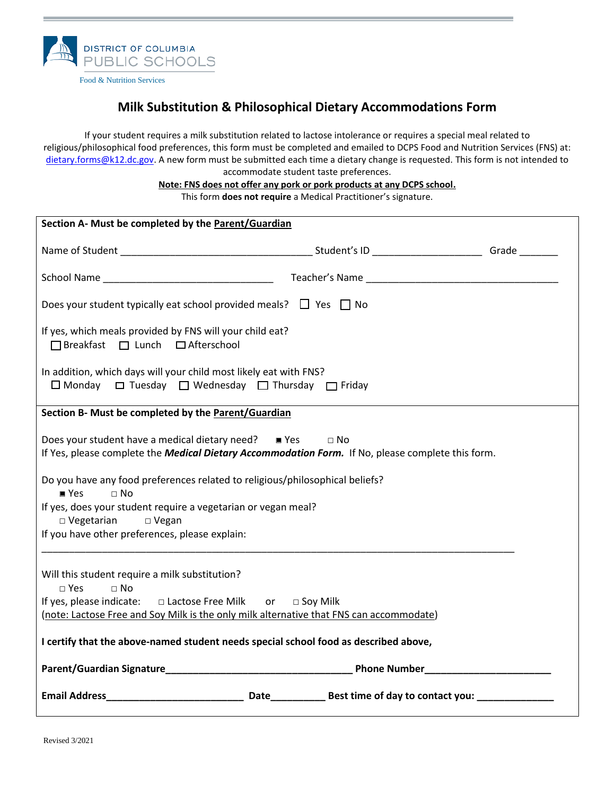

Food & Nutrition Services

## **Milk Substitution & Philosophical Dietary Accommodations Form**

If your student requires a milk substitution related to lactose intolerance or requires a special meal related to religious/philosophical food preferences, this form must be completed and emailed to DCPS Food and Nutrition Services (FNS) at: [dietary.forms@k12.dc.gov.](mailto:dietary.forms@k12.dc.gov) A new form must be submitted each time a dietary change is requested. This form is not intended to accommodate student taste preferences.

> **Note: FNS does not offer any pork or pork products at any DCPS school.** This form **does not require** a Medical Practitioner's signature.

| Section A- Must be completed by the Parent/Guardian                                                                                                                                 |  |  |
|-------------------------------------------------------------------------------------------------------------------------------------------------------------------------------------|--|--|
|                                                                                                                                                                                     |  |  |
|                                                                                                                                                                                     |  |  |
| Does your student typically eat school provided meals? $\Box$ Yes $\Box$ No                                                                                                         |  |  |
| If yes, which meals provided by FNS will your child eat?<br>□ Breakfast □ Lunch □ Afterschool                                                                                       |  |  |
| In addition, which days will your child most likely eat with FNS?<br>$\Box$ Monday $\Box$ Tuesday $\Box$ Wednesday $\Box$ Thursday $\Box$ Friday                                    |  |  |
| Section B- Must be completed by the Parent/Guardian                                                                                                                                 |  |  |
| Does your student have a medical dietary need? $\blacksquare$ Yes<br>$\Box$ No<br>If Yes, please complete the Medical Dietary Accommodation Form. If No, please complete this form. |  |  |
| Do you have any food preferences related to religious/philosophical beliefs?<br>$\Box$ No<br>$P$ Yes                                                                                |  |  |
| If yes, does your student require a vegetarian or vegan meal?<br>$\square$ Vegetarian<br>$\Box$ Vegan                                                                               |  |  |
| If you have other preferences, please explain:                                                                                                                                      |  |  |
| Will this student require a milk substitution?<br>$\square$ Yes<br>$\Box$ No                                                                                                        |  |  |
| If yes, please indicate: □ Lactose Free Milk or □ Soy Milk<br>(note: Lactose Free and Soy Milk is the only milk alternative that FNS can accommodate)                               |  |  |
|                                                                                                                                                                                     |  |  |
| I certify that the above-named student needs special school food as described above,                                                                                                |  |  |
|                                                                                                                                                                                     |  |  |
|                                                                                                                                                                                     |  |  |